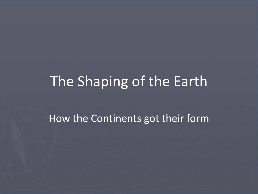## The Shaping of the Earth

#### How the Continents got their form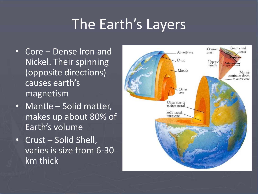## The Earth's Layers

- Core Dense Iron and Nickel. Their spinning (opposite directions) causes earth's magnetism
- Mantle Solid matter, makes up about 80% of Earth's volume
- Crust Solid Shell, varies is size from 6-30 km thick

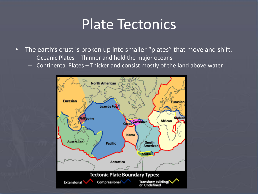#### Plate Tectonics

- The earth's crust is broken up into smaller "plates" that move and shift.
	- Oceanic Plates Thinner and hold the major oceans
	- Continental Plates Thicker and consist mostly of the land above water

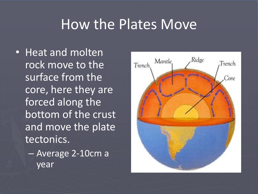#### How the Plates Move

- Heat and molten rock move to the surface from the core, here they are forced along the bottom of the crust and move the plate tectonics.
	- Average 2-10cm a year

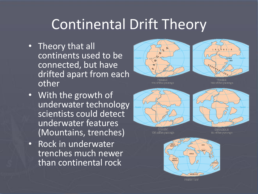## Continental Drift Theory

- Theory that all continents used to be connected, but have drifted apart from each other
- With the growth of underwater technology scientists could detect underwater features (Mountains, trenches)
- Rock in underwater trenches much newer than continental rock





PERMIAN 225 million years ago

TRIASSIC 200 million years ago





IURASSIC, 150 million yasıs ago

**CIMETA CEOUS** ã5 million years ago



PRESENT DAY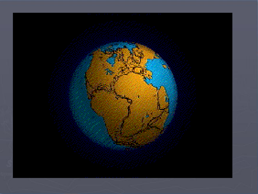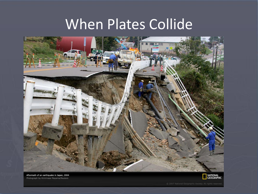#### When Plates Collide



Aftermath of an earthquake in Japan, 2004 Photograph by Kimimasa Mayama/Reuters

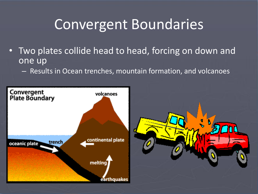## Convergent Boundaries

- Two plates collide head to head, forcing on down and one up
	- Results in Ocean trenches, mountain formation, and volcanoes

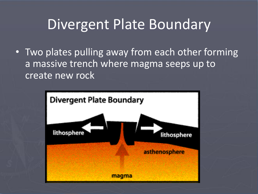#### Divergent Plate Boundary

• Two plates pulling away from each other forming a massive trench where magma seeps up to create new rock

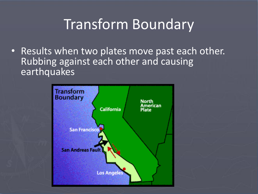## Transform Boundary

• Results when two plates move past each other. Rubbing against each other and causing earthquakes

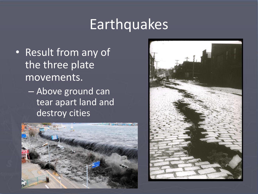### Earthquakes

- Result from any of the three plate movements.
	- Above ground can tear apart land and destroy cities



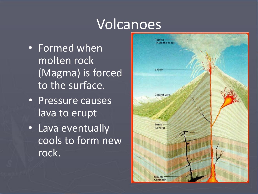### Volcanoes

- Formed when molten rock (Magma) is forced to the surface.
- Pressure causes lava to erupt
- Lava eventually cools to form new rock.